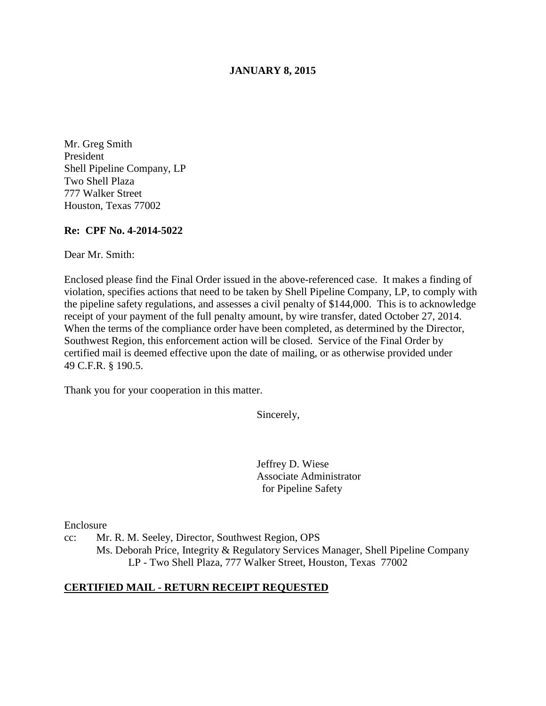#### **JANUARY 8, 2015**

Mr. Greg Smith President Shell Pipeline Company, LP Two Shell Plaza 777 Walker Street Houston, Texas 77002

#### **Re: CPF No. 4-2014-5022**

Dear Mr. Smith:

Enclosed please find the Final Order issued in the above-referenced case. It makes a finding of violation, specifies actions that need to be taken by Shell Pipeline Company, LP, to comply with the pipeline safety regulations, and assesses a civil penalty of \$144,000. This is to acknowledge receipt of your payment of the full penalty amount, by wire transfer, dated October 27, 2014. When the terms of the compliance order have been completed, as determined by the Director, Southwest Region, this enforcement action will be closed. Service of the Final Order by certified mail is deemed effective upon the date of mailing, or as otherwise provided under 49 C.F.R. § 190.5.

Thank you for your cooperation in this matter.

Sincerely,

Jeffrey D. Wiese Associate Administrator for Pipeline Safety

Enclosure

cc: Mr. R. M. Seeley, Director, Southwest Region, OPS Ms. Deborah Price, Integrity & Regulatory Services Manager, Shell Pipeline Company LP - Two Shell Plaza, 777 Walker Street, Houston, Texas 77002

#### **CERTIFIED MAIL - RETURN RECEIPT REQUESTED**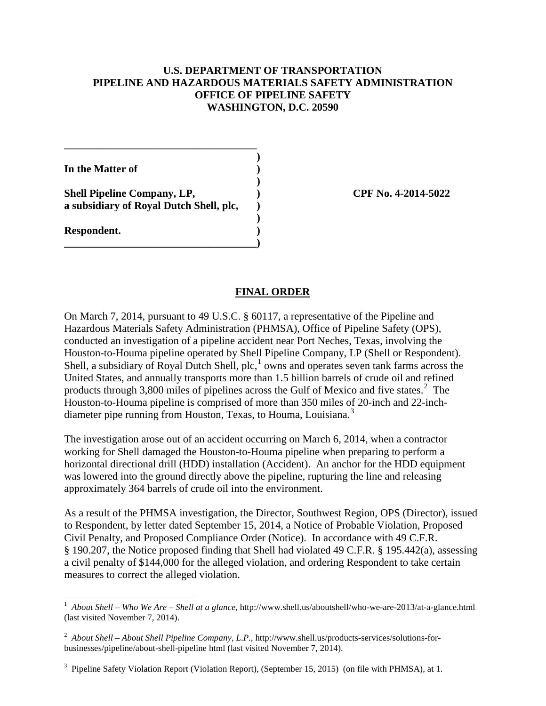### **U.S. DEPARTMENT OF TRANSPORTATION PIPELINE AND HAZARDOUS MATERIALS SAFETY ADMINISTRATION OFFICE OF PIPELINE SAFETY WASHINGTON, D.C. 20590**

**In the Matter of )** 

**Shell Pipeline Company, LP, ) CPF No. 4-2014-5022 a subsidiary of Royal Dutch Shell, plc, )** 

**\_\_\_\_\_\_\_\_\_\_\_\_\_\_\_\_\_\_\_\_\_\_\_\_\_\_\_\_\_\_\_\_\_\_\_\_ )** 

 **)** 

 **)** 

**\_\_\_\_\_\_\_\_\_\_\_\_\_\_\_\_\_\_\_\_\_\_\_\_\_\_\_\_\_\_\_\_\_\_\_\_)** 

**Respondent. )** 

### **FINAL ORDER**

On March 7, 2014, pursuant to 49 U.S.C. § 60117, a representative of the Pipeline and Hazardous Materials Safety Administration (PHMSA), Office of Pipeline Safety (OPS), conducted an investigation of a pipeline accident near Port Neches, Texas, involving the Houston-to-Houma pipeline operated by Shell Pipeline Company, LP (Shell or Respondent). Shell, a subsidiary of Royal Dutch Shell,  $\text{plc}$ ,  $\text{1}$  owns and operates seven tank farms across the United States, and annually transports more than 1.5 billion barrels of crude oil and refined products through 3,800 miles of pipelines across the Gulf of Mexico and five states.<sup>2</sup> The Houston-to-Houma pipeline is comprised of more than 350 miles of 20-inch and 22-inchdiameter pipe running from Houston, Texas, to Houma, Louisiana.<sup>3</sup>

The investigation arose out of an accident occurring on March 6, 2014, when a contractor working for Shell damaged the Houston-to-Houma pipeline when preparing to perform a horizontal directional drill (HDD) installation (Accident). An anchor for the HDD equipment was lowered into the ground directly above the pipeline, rupturing the line and releasing approximately 364 barrels of crude oil into the environment.

As a result of the PHMSA investigation, the Director, Southwest Region, OPS (Director), issued to Respondent, by letter dated September 15, 2014, a Notice of Probable Violation, Proposed Civil Penalty, and Proposed Compliance Order (Notice). In accordance with 49 C.F.R. § 190.207, the Notice proposed finding that Shell had violated 49 C.F.R. § 195.442(a), assessing a civil penalty of \$144,000 for the alleged violation, and ordering Respondent to take certain measures to correct the alleged violation.

 $\overline{a}$ <sup>1</sup> About Shell – Who We Are – Shell at a glance, http://www.shell.us/aboutshell/who-we-are-2013/at-a-glance.html (last visited November 7, 2014).

<sup>2</sup> *About Shell – About Shell Pipeline Company, L*.*P.*, http://www.shell.us/products-services/solutions-forbusinesses/pipeline/about-shell-pipeline html (last visited November 7, 2014).

<sup>&</sup>lt;sup>3</sup> Pipeline Safety Violation Report (Violation Report), (September 15, 2015) (on file with PHMSA), at 1.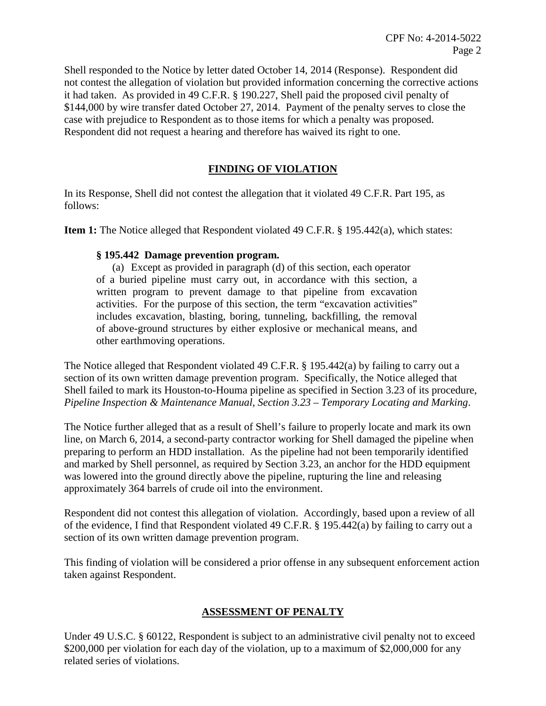Shell responded to the Notice by letter dated October 14, 2014 (Response). Respondent did not contest the allegation of violation but provided information concerning the corrective actions it had taken. As provided in 49 C.F.R. § 190.227, Shell paid the proposed civil penalty of \$144,000 by wire transfer dated October 27, 2014. Payment of the penalty serves to close the case with prejudice to Respondent as to those items for which a penalty was proposed. Respondent did not request a hearing and therefore has waived its right to one.

# **FINDING OF VIOLATION**

In its Response, Shell did not contest the allegation that it violated 49 C.F.R. Part 195, as follows:

**Item 1:** The Notice alleged that Respondent violated 49 C.F.R. § 195.442(a), which states:

## **§ 195.442 Damage prevention program.**

(a) Except as provided in paragraph (d) of this section, each operator of a buried pipeline must carry out, in accordance with this section, a written program to prevent damage to that pipeline from excavation activities. For the purpose of this section, the term "excavation activities" includes excavation, blasting, boring, tunneling, backfilling, the removal of above-ground structures by either explosive or mechanical means, and other earthmoving operations.

The Notice alleged that Respondent violated 49 C.F.R. § 195.442(a) by failing to carry out a section of its own written damage prevention program. Specifically, the Notice alleged that Shell failed to mark its Houston-to-Houma pipeline as specified in Section 3.23 of its procedure, *Pipeline Inspection & Maintenance Manual, Section 3.23 – Temporary Locating and Marking*.

The Notice further alleged that as a result of Shell's failure to properly locate and mark its own line, on March 6, 2014, a second-party contractor working for Shell damaged the pipeline when preparing to perform an HDD installation. As the pipeline had not been temporarily identified and marked by Shell personnel, as required by Section 3.23, an anchor for the HDD equipment was lowered into the ground directly above the pipeline, rupturing the line and releasing approximately 364 barrels of crude oil into the environment.

Respondent did not contest this allegation of violation. Accordingly, based upon a review of all of the evidence, I find that Respondent violated 49 C.F.R. § 195.442(a) by failing to carry out a section of its own written damage prevention program.

This finding of violation will be considered a prior offense in any subsequent enforcement action taken against Respondent.

# **ASSESSMENT OF PENALTY**

Under 49 U.S.C. § 60122, Respondent is subject to an administrative civil penalty not to exceed \$200,000 per violation for each day of the violation, up to a maximum of \$2,000,000 for any related series of violations.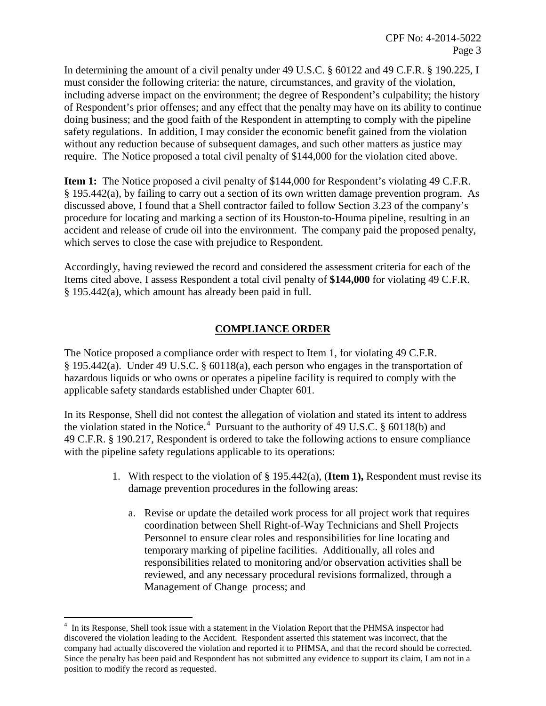In determining the amount of a civil penalty under 49 U.S.C. § 60122 and 49 C.F.R. § 190.225, I must consider the following criteria: the nature, circumstances, and gravity of the violation, including adverse impact on the environment; the degree of Respondent's culpability; the history of Respondent's prior offenses; and any effect that the penalty may have on its ability to continue doing business; and the good faith of the Respondent in attempting to comply with the pipeline safety regulations. In addition, I may consider the economic benefit gained from the violation without any reduction because of subsequent damages, and such other matters as justice may require. The Notice proposed a total civil penalty of \$144,000 for the violation cited above.

**Item 1:** The Notice proposed a civil penalty of \$144,000 for Respondent's violating 49 C.F.R. § 195.442(a), by failing to carry out a section of its own written damage prevention program. As discussed above, I found that a Shell contractor failed to follow Section 3.23 of the company's procedure for locating and marking a section of its Houston-to-Houma pipeline, resulting in an accident and release of crude oil into the environment. The company paid the proposed penalty, which serves to close the case with prejudice to Respondent.

Accordingly, having reviewed the record and considered the assessment criteria for each of the Items cited above, I assess Respondent a total civil penalty of **\$144,000** for violating 49 C.F.R. § 195.442(a), which amount has already been paid in full.

## **COMPLIANCE ORDER**

The Notice proposed a compliance order with respect to Item 1, for violating 49 C.F.R. § 195.442(a). Under 49 U.S.C. § 60118(a), each person who engages in the transportation of hazardous liquids or who owns or operates a pipeline facility is required to comply with the applicable safety standards established under Chapter 601.

In its Response, Shell did not contest the allegation of violation and stated its intent to address the violation stated in the Notice.<sup>4</sup> Pursuant to the authority of 49 U.S.C. § 60118(b) and 49 C.F.R. § 190.217, Respondent is ordered to take the following actions to ensure compliance with the pipeline safety regulations applicable to its operations:

- 1. With respect to the violation of § 195.442(a), (**Item 1),** Respondent must revise its damage prevention procedures in the following areas:
	- a. Revise or update the detailed work process for all project work that requires coordination between Shell Right-of-Way Technicians and Shell Projects Personnel to ensure clear roles and responsibilities for line locating and temporary marking of pipeline facilities. Additionally, all roles and responsibilities related to monitoring and/or observation activities shall be reviewed, and any necessary procedural revisions formalized, through a Management of Change process; and

 4 In its Response, Shell took issue with a statement in the Violation Report that the PHMSA inspector had discovered the violation leading to the Accident. Respondent asserted this statement was incorrect, that the company had actually discovered the violation and reported it to PHMSA, and that the record should be corrected. Since the penalty has been paid and Respondent has not submitted any evidence to support its claim, I am not in a position to modify the record as requested.